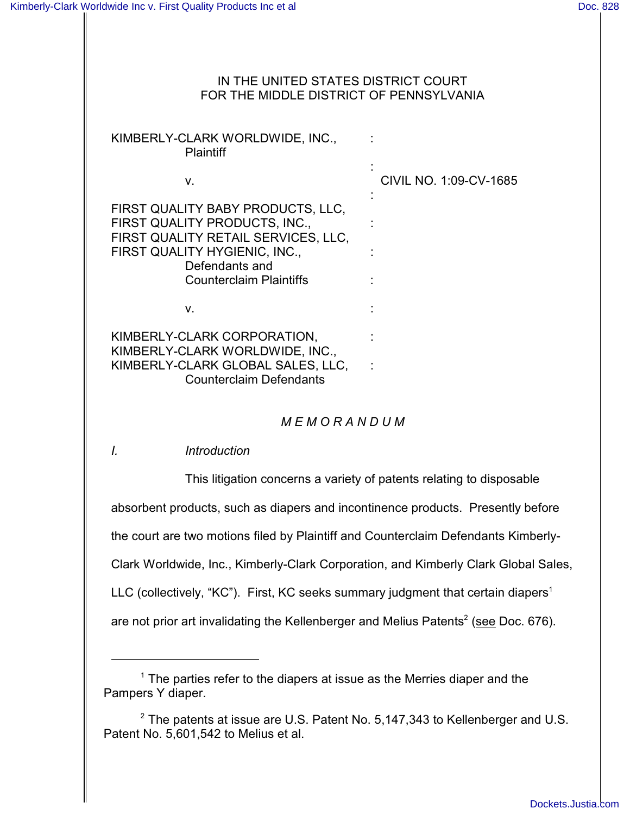#### IN THE UNITED STATES DISTRICT COURT FOR THE MIDDLE DISTRICT OF PENNSYLVANIA

KIMBERLY-CLARK WORLDWIDE, INC., : **Plaintiff** 

| V.                                                                                                                                                                                             | CIVIL NO. 1:09-CV-1685 |
|------------------------------------------------------------------------------------------------------------------------------------------------------------------------------------------------|------------------------|
| FIRST QUALITY BABY PRODUCTS, LLC,<br>FIRST QUALITY PRODUCTS, INC.,<br>FIRST QUALITY RETAIL SERVICES, LLC,<br>FIRST QUALITY HYGIENIC, INC.,<br>Defendants and<br><b>Counterclaim Plaintiffs</b> |                        |
| V.                                                                                                                                                                                             |                        |
| KIMBERLY-CLARK CORPORATION,<br>KIMBERLY-CLARK WORLDWIDE, INC.,<br>KIMBERLY-CLARK GLOBAL SALES, LLC,<br><b>Counterclaim Defendants</b>                                                          |                        |

## *M E M O R A N D U M*

*I. Introduction*

This litigation concerns a variety of patents relating to disposable absorbent products, such as diapers and incontinence products. Presently before the court are two motions filed by Plaintiff and Counterclaim Defendants Kimberly-Clark Worldwide, Inc., Kimberly-Clark Corporation, and Kimberly Clark Global Sales, LLC (collectively, "KC"). First, KC seeks summary judgment that certain diapers<sup>1</sup> are not prior art invalidating the Kellenberger and Melius Patents<sup>2</sup> (see Doc. 676).

 $1$  The parties refer to the diapers at issue as the Merries diaper and the Pampers Y diaper.

 $2$  The patents at issue are U.S. Patent No. 5, 147, 343 to Kellenberger and U.S. Patent No. 5,601,542 to Melius et al.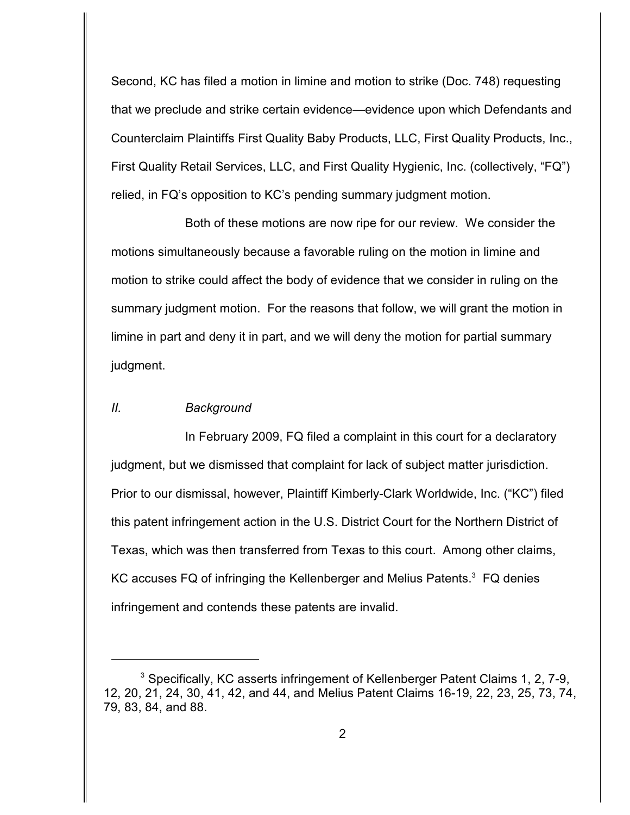Second, KC has filed a motion in limine and motion to strike (Doc. 748) requesting that we preclude and strike certain evidence—evidence upon which Defendants and Counterclaim Plaintiffs First Quality Baby Products, LLC, First Quality Products, Inc., First Quality Retail Services, LLC, and First Quality Hygienic, Inc. (collectively, "FQ") relied, in FQ's opposition to KC's pending summary judgment motion.

Both of these motions are now ripe for our review. We consider the motions simultaneously because a favorable ruling on the motion in limine and motion to strike could affect the body of evidence that we consider in ruling on the summary judgment motion. For the reasons that follow, we will grant the motion in limine in part and deny it in part, and we will deny the motion for partial summary judgment.

### *II. Background*

In February 2009, FQ filed a complaint in this court for a declaratory judgment, but we dismissed that complaint for lack of subject matter jurisdiction. Prior to our dismissal, however, Plaintiff Kimberly-Clark Worldwide, Inc. ("KC") filed this patent infringement action in the U.S. District Court for the Northern District of Texas, which was then transferred from Texas to this court. Among other claims, KC accuses FQ of infringing the Kellenberger and Melius Patents. $^3$  FQ denies infringement and contends these patents are invalid.

<sup>&</sup>lt;sup>3</sup> Specifically, KC asserts infringement of Kellenberger Patent Claims 1, 2, 7-9, 12, 20, 21, 24, 30, 41, 42, and 44, and Melius Patent Claims 16-19, 22, 23, 25, 73, 74, 79, 83, 84, and 88.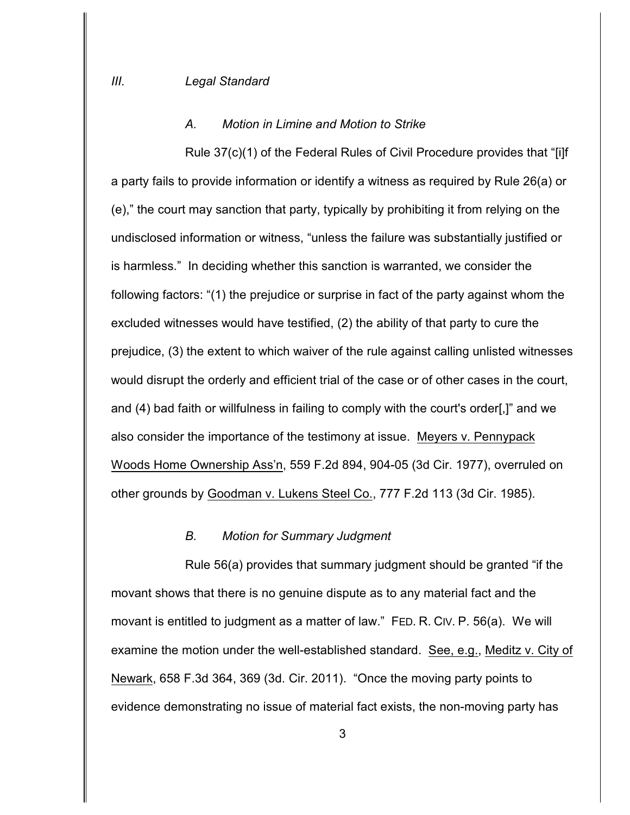#### *A. Motion in Limine and Motion to Strike*

Rule 37(c)(1) of the Federal Rules of Civil Procedure provides that "[i]f a party fails to provide information or identify a witness as required by Rule 26(a) or (e)," the court may sanction that party, typically by prohibiting it from relying on the undisclosed information or witness, "unless the failure was substantially justified or is harmless." In deciding whether this sanction is warranted, we consider the following factors: "(1) the prejudice or surprise in fact of the party against whom the excluded witnesses would have testified, (2) the ability of that party to cure the prejudice, (3) the extent to which waiver of the rule against calling unlisted witnesses would disrupt the orderly and efficient trial of the case or of other cases in the court, and (4) bad faith or willfulness in failing to comply with the court's order[,]" and we also consider the importance of the testimony at issue. Meyers v. Pennypack Woods Home Ownership Ass'n, 559 F.2d 894, 904-05 (3d Cir. 1977), overruled on other grounds by Goodman v. Lukens Steel Co., 777 F.2d 113 (3d Cir. 1985).

#### *B. Motion for Summary Judgment*

Rule 56(a) provides that summary judgment should be granted "if the movant shows that there is no genuine dispute as to any material fact and the movant is entitled to judgment as a matter of law." FED. R. CIV. P. 56(a). We will examine the motion under the well-established standard. See, e.g., Meditz v. City of Newark, 658 F.3d 364, 369 (3d. Cir. 2011). "Once the moving party points to evidence demonstrating no issue of material fact exists, the non-moving party has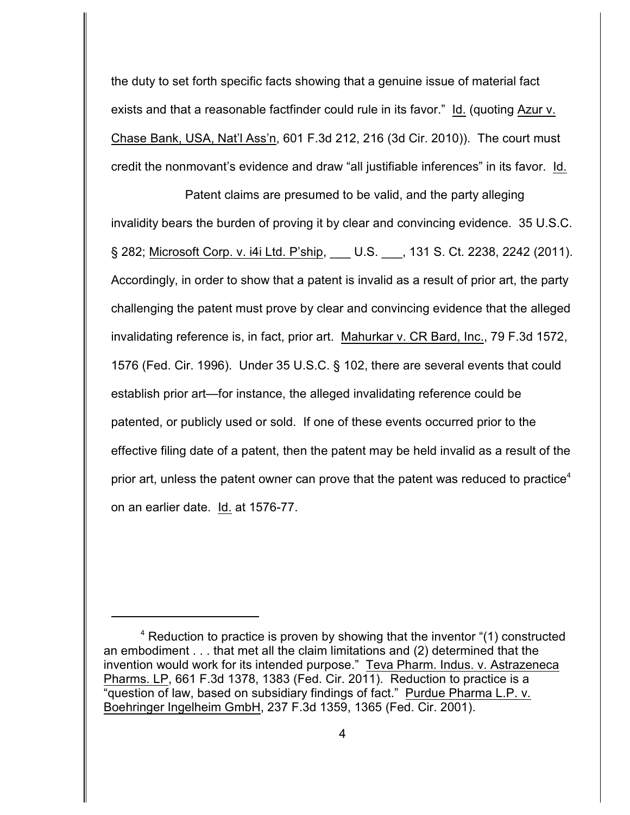the duty to set forth specific facts showing that a genuine issue of material fact exists and that a reasonable factfinder could rule in its favor." Id. (quoting Azur v. Chase Bank, USA, Nat'l Ass'n, 601 F.3d 212, 216 (3d Cir. 2010)). The court must credit the nonmovant's evidence and draw "all justifiable inferences" in its favor. Id.

Patent claims are presumed to be valid, and the party alleging invalidity bears the burden of proving it by clear and convincing evidence. 35 U.S.C. § 282; Microsoft Corp. v. i4i Ltd. P'ship, \_\_\_ U.S. \_\_\_, 131 S. Ct. 2238, 2242 (2011). Accordingly, in order to show that a patent is invalid as a result of prior art, the party challenging the patent must prove by clear and convincing evidence that the alleged invalidating reference is, in fact, prior art. Mahurkar v. CR Bard, Inc., 79 F.3d 1572, 1576 (Fed. Cir. 1996). Under 35 U.S.C. § 102, there are several events that could establish prior art—for instance, the alleged invalidating reference could be patented, or publicly used or sold. If one of these events occurred prior to the effective filing date of a patent, then the patent may be held invalid as a result of the prior art, unless the patent owner can prove that the patent was reduced to practice<sup>4</sup> on an earlier date. Id. at 1576-77.

 $4$  Reduction to practice is proven by showing that the inventor  $(1)$  constructed an embodiment . . . that met all the claim limitations and (2) determined that the invention would work for its intended purpose." Teva Pharm. Indus. v. Astrazeneca Pharms. LP, 661 F.3d 1378, 1383 (Fed. Cir. 2011). Reduction to practice is a "question of law, based on subsidiary findings of fact." Purdue Pharma L.P. v. Boehringer Ingelheim GmbH, 237 F.3d 1359, 1365 (Fed. Cir. 2001).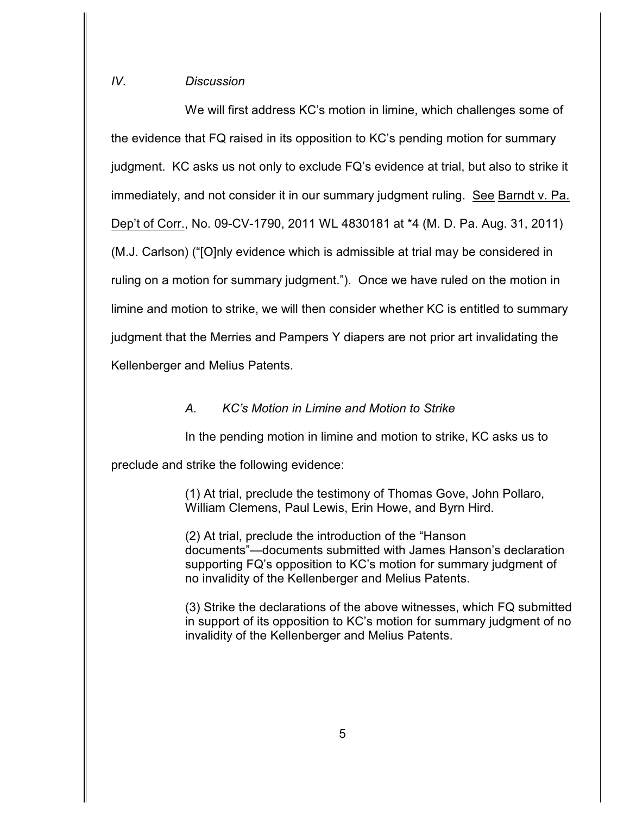## *IV. Discussion*

We will first address KC's motion in limine, which challenges some of the evidence that FQ raised in its opposition to KC's pending motion for summary judgment. KC asks us not only to exclude FQ's evidence at trial, but also to strike it immediately, and not consider it in our summary judgment ruling. See Barndt v. Pa. Dep't of Corr., No. 09-CV-1790, 2011 WL 4830181 at \*4 (M. D. Pa. Aug. 31, 2011) (M.J. Carlson) ("[O]nly evidence which is admissible at trial may be considered in ruling on a motion for summary judgment."). Once we have ruled on the motion in limine and motion to strike, we will then consider whether KC is entitled to summary judgment that the Merries and Pampers Y diapers are not prior art invalidating the Kellenberger and Melius Patents.

### *A. KC's Motion in Limine and Motion to Strike*

In the pending motion in limine and motion to strike, KC asks us to

preclude and strike the following evidence:

(1) At trial, preclude the testimony of Thomas Gove, John Pollaro, William Clemens, Paul Lewis, Erin Howe, and Byrn Hird.

(2) At trial, preclude the introduction of the "Hanson documents"—documents submitted with James Hanson's declaration supporting FQ's opposition to KC's motion for summary judgment of no invalidity of the Kellenberger and Melius Patents.

(3) Strike the declarations of the above witnesses, which FQ submitted in support of its opposition to KC's motion for summary judgment of no invalidity of the Kellenberger and Melius Patents.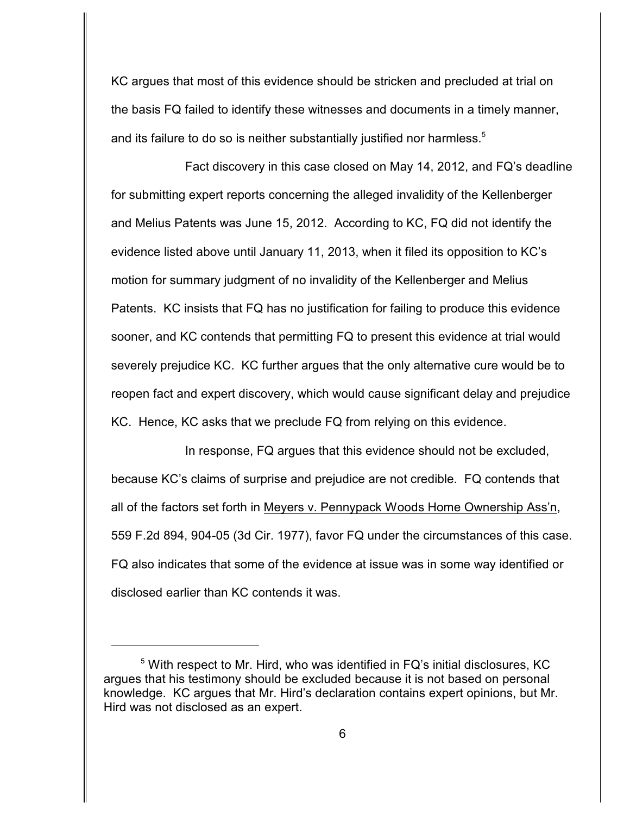KC argues that most of this evidence should be stricken and precluded at trial on the basis FQ failed to identify these witnesses and documents in a timely manner, and its failure to do so is neither substantially justified nor harmless. $5$ 

Fact discovery in this case closed on May 14, 2012, and FQ's deadline for submitting expert reports concerning the alleged invalidity of the Kellenberger and Melius Patents was June 15, 2012. According to KC, FQ did not identify the evidence listed above until January 11, 2013, when it filed its opposition to KC's motion for summary judgment of no invalidity of the Kellenberger and Melius Patents. KC insists that FQ has no justification for failing to produce this evidence sooner, and KC contends that permitting FQ to present this evidence at trial would severely prejudice KC. KC further argues that the only alternative cure would be to reopen fact and expert discovery, which would cause significant delay and prejudice KC. Hence, KC asks that we preclude FQ from relying on this evidence.

In response, FQ argues that this evidence should not be excluded, because KC's claims of surprise and prejudice are not credible. FQ contends that all of the factors set forth in Meyers v. Pennypack Woods Home Ownership Ass'n, 559 F.2d 894, 904-05 (3d Cir. 1977), favor FQ under the circumstances of this case. FQ also indicates that some of the evidence at issue was in some way identified or disclosed earlier than KC contends it was.

 $5$  With respect to Mr. Hird, who was identified in FQ's initial disclosures, KC argues that his testimony should be excluded because it is not based on personal knowledge. KC argues that Mr. Hird's declaration contains expert opinions, but Mr. Hird was not disclosed as an expert.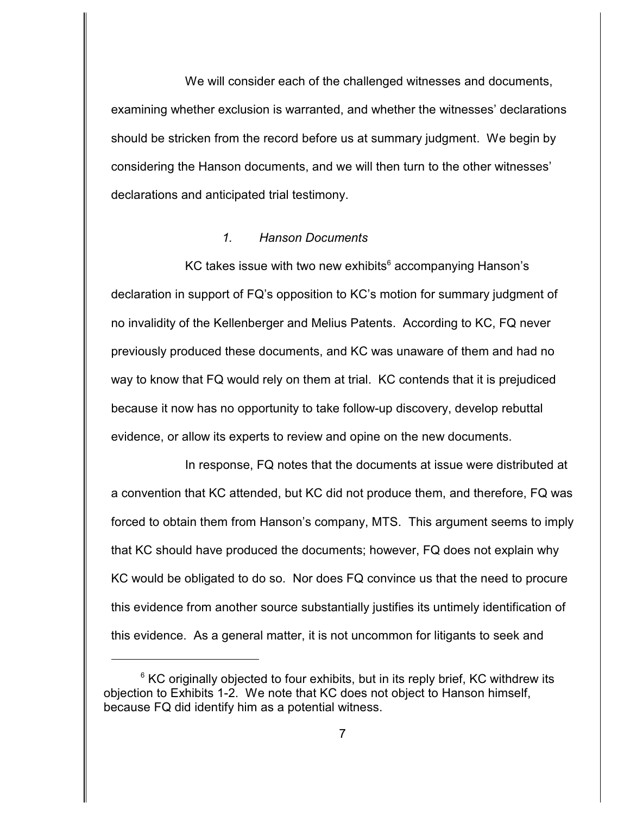We will consider each of the challenged witnesses and documents, examining whether exclusion is warranted, and whether the witnesses' declarations should be stricken from the record before us at summary judgment. We begin by considering the Hanson documents, and we will then turn to the other witnesses' declarations and anticipated trial testimony.

### *1. Hanson Documents*

KC takes issue with two new exhibits $6 \text{ accompanying}$  Hanson's declaration in support of FQ's opposition to KC's motion for summary judgment of no invalidity of the Kellenberger and Melius Patents. According to KC, FQ never previously produced these documents, and KC was unaware of them and had no way to know that FQ would rely on them at trial. KC contends that it is prejudiced because it now has no opportunity to take follow-up discovery, develop rebuttal evidence, or allow its experts to review and opine on the new documents.

In response, FQ notes that the documents at issue were distributed at a convention that KC attended, but KC did not produce them, and therefore, FQ was forced to obtain them from Hanson's company, MTS. This argument seems to imply that KC should have produced the documents; however, FQ does not explain why KC would be obligated to do so. Nor does FQ convince us that the need to procure this evidence from another source substantially justifies its untimely identification of this evidence. As a general matter, it is not uncommon for litigants to seek and

 $6$  KC originally objected to four exhibits, but in its reply brief, KC withdrew its objection to Exhibits 1-2. We note that KC does not object to Hanson himself, because FQ did identify him as a potential witness.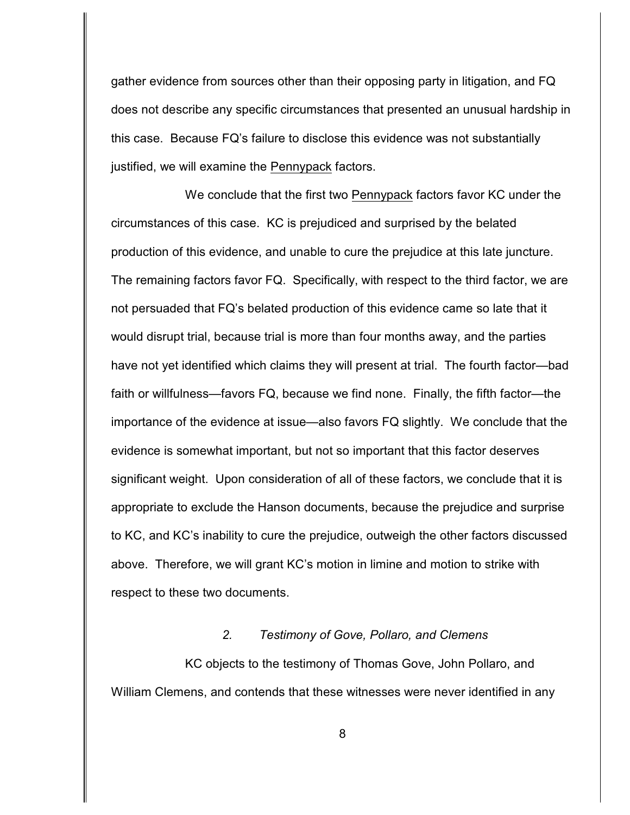gather evidence from sources other than their opposing party in litigation, and FQ does not describe any specific circumstances that presented an unusual hardship in this case. Because FQ's failure to disclose this evidence was not substantially justified, we will examine the Pennypack factors.

We conclude that the first two Pennypack factors favor KC under the circumstances of this case. KC is prejudiced and surprised by the belated production of this evidence, and unable to cure the prejudice at this late juncture. The remaining factors favor FQ. Specifically, with respect to the third factor, we are not persuaded that FQ's belated production of this evidence came so late that it would disrupt trial, because trial is more than four months away, and the parties have not yet identified which claims they will present at trial. The fourth factor—bad faith or willfulness—favors FQ, because we find none. Finally, the fifth factor—the importance of the evidence at issue—also favors FQ slightly. We conclude that the evidence is somewhat important, but not so important that this factor deserves significant weight. Upon consideration of all of these factors, we conclude that it is appropriate to exclude the Hanson documents, because the prejudice and surprise to KC, and KC's inability to cure the prejudice, outweigh the other factors discussed above. Therefore, we will grant KC's motion in limine and motion to strike with respect to these two documents.

### *2. Testimony of Gove, Pollaro, and Clemens*

KC objects to the testimony of Thomas Gove, John Pollaro, and William Clemens, and contends that these witnesses were never identified in any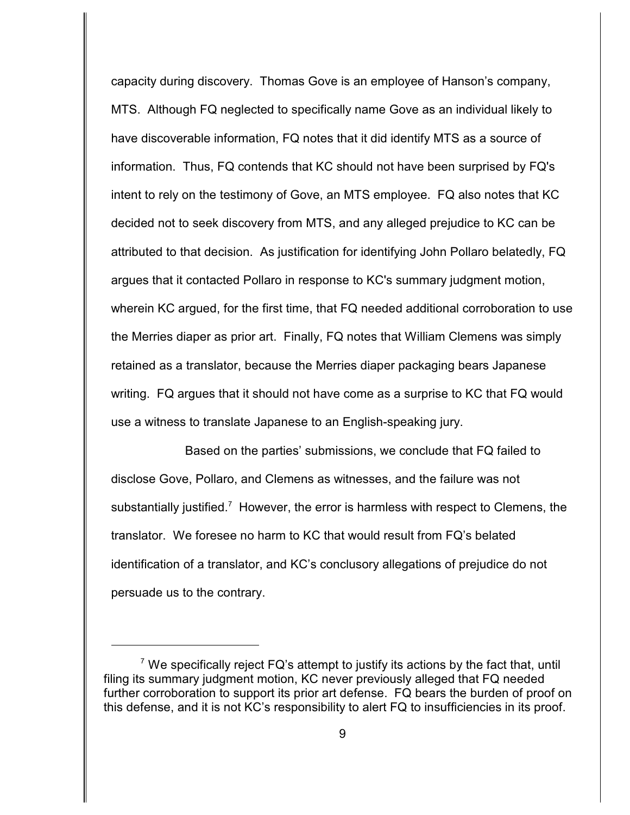capacity during discovery. Thomas Gove is an employee of Hanson's company, MTS. Although FQ neglected to specifically name Gove as an individual likely to have discoverable information, FQ notes that it did identify MTS as a source of information. Thus, FQ contends that KC should not have been surprised by FQ's intent to rely on the testimony of Gove, an MTS employee. FQ also notes that KC decided not to seek discovery from MTS, and any alleged prejudice to KC can be attributed to that decision. As justification for identifying John Pollaro belatedly, FQ argues that it contacted Pollaro in response to KC's summary judgment motion, wherein KC argued, for the first time, that FQ needed additional corroboration to use the Merries diaper as prior art. Finally, FQ notes that William Clemens was simply retained as a translator, because the Merries diaper packaging bears Japanese writing. FQ argues that it should not have come as a surprise to KC that FQ would use a witness to translate Japanese to an English-speaking jury.

Based on the parties' submissions, we conclude that FQ failed to disclose Gove, Pollaro, and Clemens as witnesses, and the failure was not substantially justified.<sup>7</sup> However, the error is harmless with respect to Clemens, the translator. We foresee no harm to KC that would result from FQ's belated identification of a translator, and KC's conclusory allegations of prejudice do not persuade us to the contrary.

 $\alpha$ <sup>7</sup> We specifically reject FQ's attempt to justify its actions by the fact that, until filing its summary judgment motion, KC never previously alleged that FQ needed further corroboration to support its prior art defense. FQ bears the burden of proof on this defense, and it is not KC's responsibility to alert FQ to insufficiencies in its proof.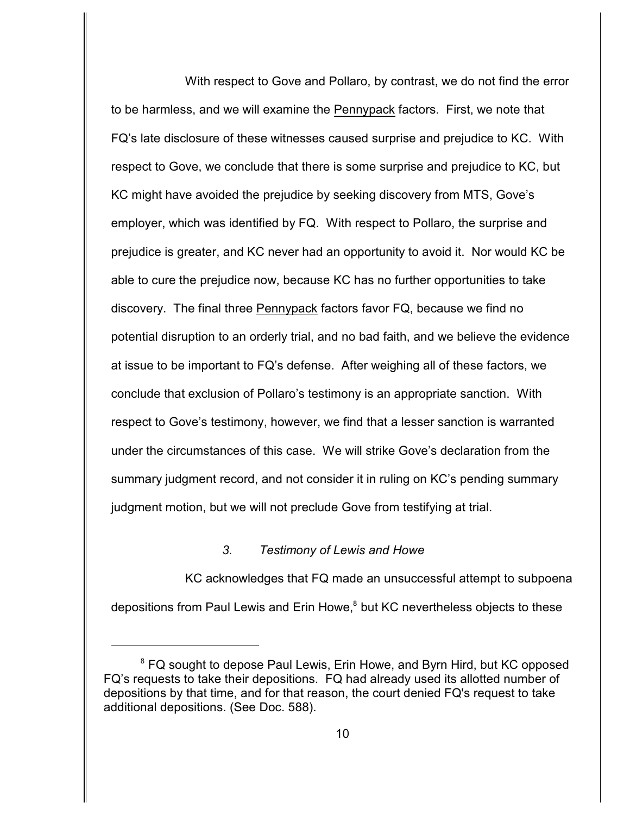With respect to Gove and Pollaro, by contrast, we do not find the error to be harmless, and we will examine the Pennypack factors. First, we note that FQ's late disclosure of these witnesses caused surprise and prejudice to KC. With respect to Gove, we conclude that there is some surprise and prejudice to KC, but KC might have avoided the prejudice by seeking discovery from MTS, Gove's employer, which was identified by FQ. With respect to Pollaro, the surprise and prejudice is greater, and KC never had an opportunity to avoid it. Nor would KC be able to cure the prejudice now, because KC has no further opportunities to take discovery. The final three Pennypack factors favor FQ, because we find no potential disruption to an orderly trial, and no bad faith, and we believe the evidence at issue to be important to FQ's defense. After weighing all of these factors, we conclude that exclusion of Pollaro's testimony is an appropriate sanction. With respect to Gove's testimony, however, we find that a lesser sanction is warranted under the circumstances of this case. We will strike Gove's declaration from the summary judgment record, and not consider it in ruling on KC's pending summary judgment motion, but we will not preclude Gove from testifying at trial.

### *3. Testimony of Lewis and Howe*

KC acknowledges that FQ made an unsuccessful attempt to subpoena depositions from Paul Lewis and Erin Howe,<sup>8</sup> but KC nevertheless objects to these

<sup>&</sup>lt;sup>8</sup> FQ sought to depose Paul Lewis, Erin Howe, and Byrn Hird, but KC opposed FQ's requests to take their depositions. FQ had already used its allotted number of depositions by that time, and for that reason, the court denied FQ's request to take additional depositions. (See Doc. 588).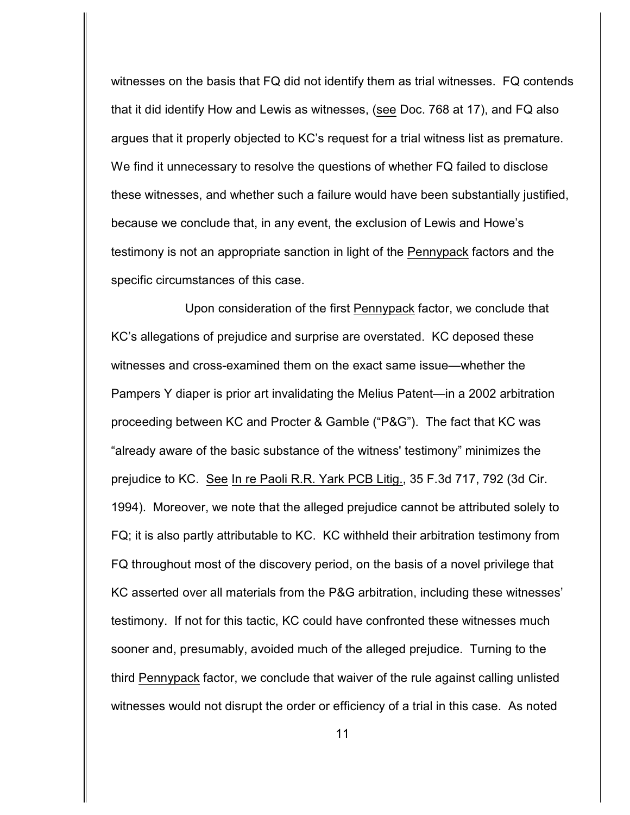witnesses on the basis that FQ did not identify them as trial witnesses. FQ contends that it did identify How and Lewis as witnesses, (see Doc. 768 at 17), and FQ also argues that it properly objected to KC's request for a trial witness list as premature. We find it unnecessary to resolve the questions of whether FQ failed to disclose these witnesses, and whether such a failure would have been substantially justified, because we conclude that, in any event, the exclusion of Lewis and Howe's testimony is not an appropriate sanction in light of the Pennypack factors and the specific circumstances of this case.

Upon consideration of the first Pennypack factor, we conclude that KC's allegations of prejudice and surprise are overstated. KC deposed these witnesses and cross-examined them on the exact same issue—whether the Pampers Y diaper is prior art invalidating the Melius Patent—in a 2002 arbitration proceeding between KC and Procter & Gamble ("P&G"). The fact that KC was "already aware of the basic substance of the witness' testimony" minimizes the prejudice to KC. See In re Paoli R.R. Yark PCB Litig., 35 F.3d 717, 792 (3d Cir. 1994). Moreover, we note that the alleged prejudice cannot be attributed solely to FQ; it is also partly attributable to KC. KC withheld their arbitration testimony from FQ throughout most of the discovery period, on the basis of a novel privilege that KC asserted over all materials from the P&G arbitration, including these witnesses' testimony. If not for this tactic, KC could have confronted these witnesses much sooner and, presumably, avoided much of the alleged prejudice. Turning to the third Pennypack factor, we conclude that waiver of the rule against calling unlisted witnesses would not disrupt the order or efficiency of a trial in this case. As noted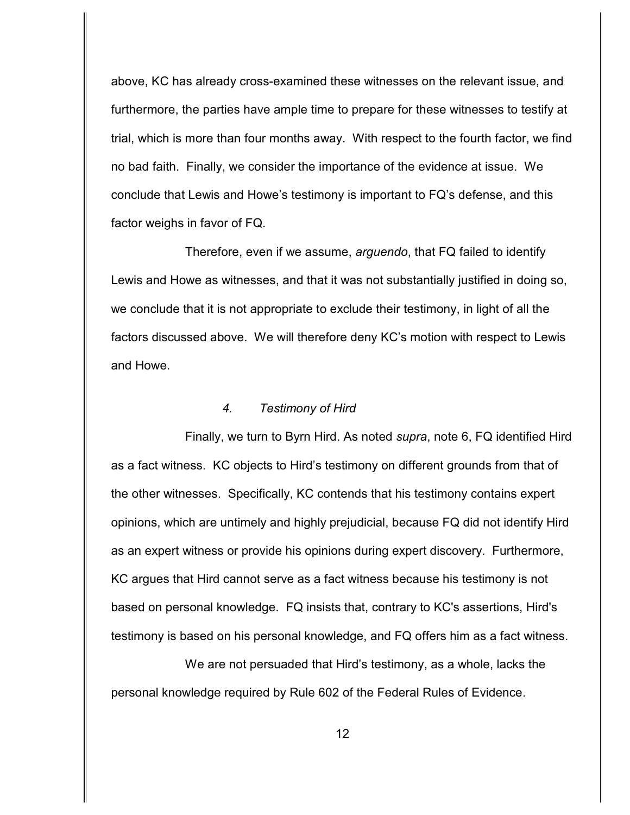above, KC has already cross-examined these witnesses on the relevant issue, and furthermore, the parties have ample time to prepare for these witnesses to testify at trial, which is more than four months away. With respect to the fourth factor, we find no bad faith. Finally, we consider the importance of the evidence at issue. We conclude that Lewis and Howe's testimony is important to FQ's defense, and this factor weighs in favor of FQ.

Therefore, even if we assume, *arguendo*, that FQ failed to identify Lewis and Howe as witnesses, and that it was not substantially justified in doing so, we conclude that it is not appropriate to exclude their testimony, in light of all the factors discussed above. We will therefore deny KC's motion with respect to Lewis and Howe.

#### *4. Testimony of Hird*

Finally, we turn to Byrn Hird. As noted *supra*, note 6, FQ identified Hird as a fact witness. KC objects to Hird's testimony on different grounds from that of the other witnesses. Specifically, KC contends that his testimony contains expert opinions, which are untimely and highly prejudicial, because FQ did not identify Hird as an expert witness or provide his opinions during expert discovery. Furthermore, KC argues that Hird cannot serve as a fact witness because his testimony is not based on personal knowledge. FQ insists that, contrary to KC's assertions, Hird's testimony is based on his personal knowledge, and FQ offers him as a fact witness.

We are not persuaded that Hird's testimony, as a whole, lacks the personal knowledge required by Rule 602 of the Federal Rules of Evidence.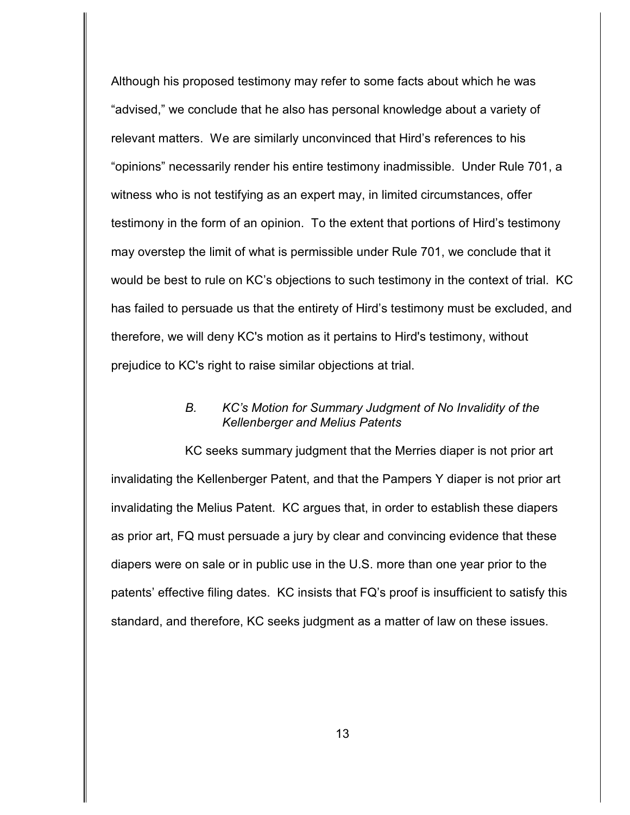Although his proposed testimony may refer to some facts about which he was "advised," we conclude that he also has personal knowledge about a variety of relevant matters. We are similarly unconvinced that Hird's references to his "opinions" necessarily render his entire testimony inadmissible. Under Rule 701, a witness who is not testifying as an expert may, in limited circumstances, offer testimony in the form of an opinion. To the extent that portions of Hird's testimony may overstep the limit of what is permissible under Rule 701, we conclude that it would be best to rule on KC's objections to such testimony in the context of trial. KC has failed to persuade us that the entirety of Hird's testimony must be excluded, and therefore, we will deny KC's motion as it pertains to Hird's testimony, without prejudice to KC's right to raise similar objections at trial.

## *B. KC's Motion for Summary Judgment of No Invalidity of the Kellenberger and Melius Patents*

KC seeks summary judgment that the Merries diaper is not prior art invalidating the Kellenberger Patent, and that the Pampers Y diaper is not prior art invalidating the Melius Patent. KC argues that, in order to establish these diapers as prior art, FQ must persuade a jury by clear and convincing evidence that these diapers were on sale or in public use in the U.S. more than one year prior to the patents' effective filing dates. KC insists that FQ's proof is insufficient to satisfy this standard, and therefore, KC seeks judgment as a matter of law on these issues.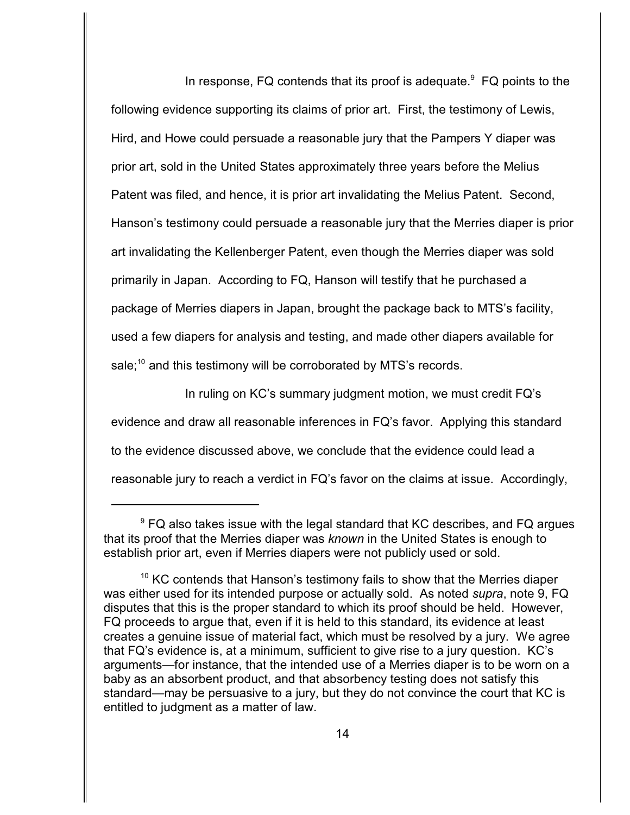In response, FQ contends that its proof is adequate. $9$  FQ points to the following evidence supporting its claims of prior art. First, the testimony of Lewis, Hird, and Howe could persuade a reasonable jury that the Pampers Y diaper was prior art, sold in the United States approximately three years before the Melius Patent was filed, and hence, it is prior art invalidating the Melius Patent. Second, Hanson's testimony could persuade a reasonable jury that the Merries diaper is prior art invalidating the Kellenberger Patent, even though the Merries diaper was sold primarily in Japan. According to FQ, Hanson will testify that he purchased a package of Merries diapers in Japan, brought the package back to MTS's facility, used a few diapers for analysis and testing, and made other diapers available for sale; $^{10}$  and this testimony will be corroborated by MTS's records.

In ruling on KC's summary judgment motion, we must credit FQ's evidence and draw all reasonable inferences in FQ's favor. Applying this standard to the evidence discussed above, we conclude that the evidence could lead a reasonable jury to reach a verdict in FQ's favor on the claims at issue. Accordingly,

 $\degree$  FQ also takes issue with the legal standard that KC describes, and FQ argues that its proof that the Merries diaper was *known* in the United States is enough to establish prior art, even if Merries diapers were not publicly used or sold.

 $10$  KC contends that Hanson's testimony fails to show that the Merries diaper was either used for its intended purpose or actually sold. As noted *supra*, note 9, FQ disputes that this is the proper standard to which its proof should be held. However, FQ proceeds to argue that, even if it is held to this standard, its evidence at least creates a genuine issue of material fact, which must be resolved by a jury. We agree that FQ's evidence is, at a minimum, sufficient to give rise to a jury question. KC's arguments—for instance, that the intended use of a Merries diaper is to be worn on a baby as an absorbent product, and that absorbency testing does not satisfy this standard—may be persuasive to a jury, but they do not convince the court that KC is entitled to judgment as a matter of law.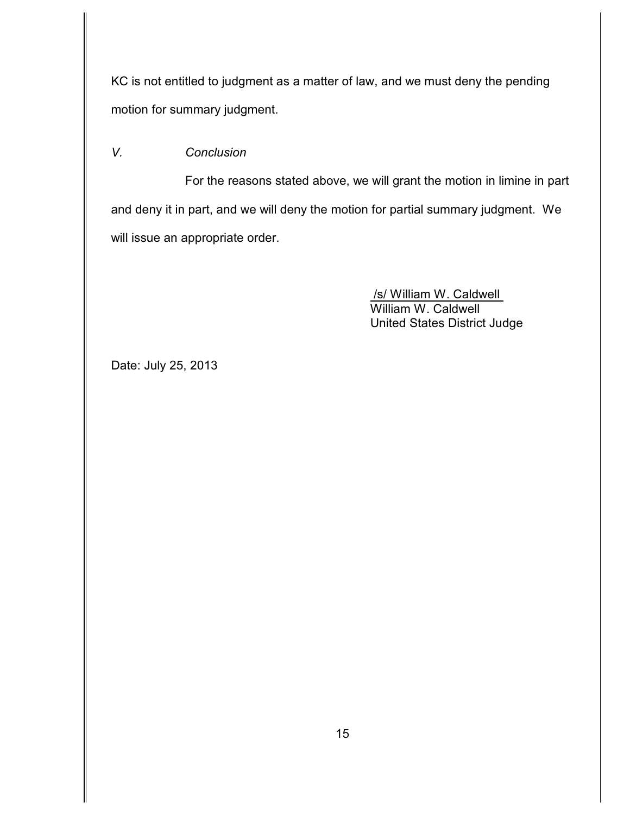KC is not entitled to judgment as a matter of law, and we must deny the pending motion for summary judgment.

# *V. Conclusion*

For the reasons stated above, we will grant the motion in limine in part and deny it in part, and we will deny the motion for partial summary judgment. We will issue an appropriate order.

> /s/ William W. Caldwell William W. Caldwell United States District Judge

Date: July 25, 2013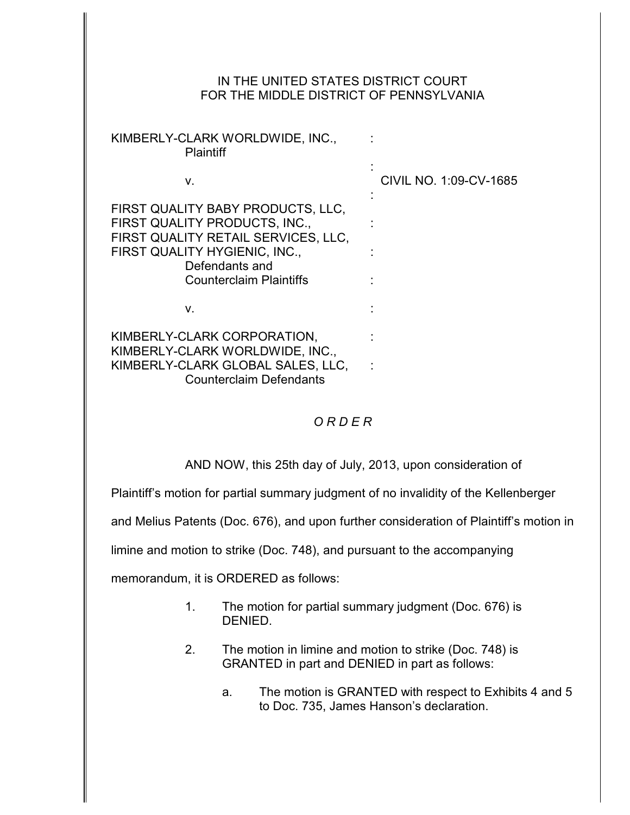## IN THE UNITED STATES DISTRICT COURT FOR THE MIDDLE DISTRICT OF PENNSYLVANIA

| KIMBERLY-CLARK WORLDWIDE, INC.,<br>Plaintiff                                                                                                                                                   |                        |
|------------------------------------------------------------------------------------------------------------------------------------------------------------------------------------------------|------------------------|
| v.                                                                                                                                                                                             | CIVIL NO. 1:09-CV-1685 |
| FIRST QUALITY BABY PRODUCTS, LLC,<br>FIRST QUALITY PRODUCTS, INC.,<br>FIRST QUALITY RETAIL SERVICES, LLC,<br>FIRST QUALITY HYGIENIC, INC.,<br>Defendants and<br><b>Counterclaim Plaintiffs</b> |                        |
| v.                                                                                                                                                                                             |                        |
| KIMBERLY-CLARK CORPORATION,<br>KIMBERLY-CLARK WORLDWIDE, INC.,<br>KIMBERLY-CLARK GLOBAL SALES, LLC,<br><b>Counterclaim Defendants</b>                                                          |                        |

# *O R D E R*

AND NOW, this 25th day of July, 2013, upon consideration of

Plaintiff's motion for partial summary judgment of no invalidity of the Kellenberger

and Melius Patents (Doc. 676), and upon further consideration of Plaintiff's motion in

limine and motion to strike (Doc. 748), and pursuant to the accompanying

memorandum, it is ORDERED as follows:

- 1. The motion for partial summary judgment (Doc. 676) is DENIED.
- 2. The motion in limine and motion to strike (Doc. 748) is GRANTED in part and DENIED in part as follows:
	- a. The motion is GRANTED with respect to Exhibits 4 and 5 to Doc. 735, James Hanson's declaration.